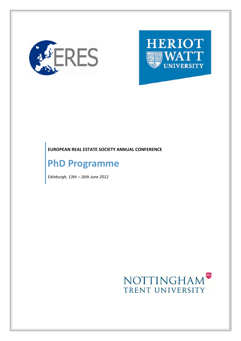

# **HERIOT UNIVERSITY**

#### **EUROPEAN REAL ESTATE SOCIETY ANNUAL CONFERENCE**

### **PhD Programme**

*Edinburgh, 13th – 16th June 2012*

## NOTTINGHAM TRENT UNIVERSITY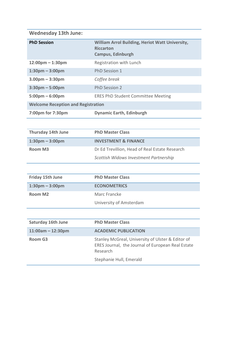#### **Wednesday 13th June:**

| <b>PhD Session</b>                        | <b>William Arrol Building, Heriot Watt University,</b><br><b>Riccarton</b><br><b>Campus, Edinburgh</b> |  |
|-------------------------------------------|--------------------------------------------------------------------------------------------------------|--|
| $12:00 \text{pm} - 1:30 \text{pm}$        | Registration with Lunch                                                                                |  |
| $1:30$ pm – $3:00$ pm                     | PhD Session 1                                                                                          |  |
| $3.00pm - 3:30pm$                         | Coffee break                                                                                           |  |
| $3:30$ pm – 5:00pm                        | <b>PhD Session 2</b>                                                                                   |  |
| $5:00 \text{pm} - 6:00 \text{pm}$         | <b>ERES PhD Student Committee Meeting</b>                                                              |  |
| <b>Welcome Reception and Registration</b> |                                                                                                        |  |
| 7:00pm for 7:30pm                         | <b>Dynamic Earth, Edinburgh</b>                                                                        |  |

| <b>Thursday 14th June</b> | <b>PhD Master Class</b>                        |
|---------------------------|------------------------------------------------|
| $1:30$ pm – 3:00pm        | <b>INVESTMENT &amp; FINANCE</b>                |
| Room M3                   | Dr Ed Trevillion, Head of Real Estate Research |
|                           | Scottish Widows Investment Partnership         |

| Friday 15th June    | <b>PhD Master Class</b> |
|---------------------|-------------------------|
| $1:30$ pm – 3:00pm  | <b>ECONOMETRICS</b>     |
| Room M <sub>2</sub> | Marc Francke            |
|                     | University of Amsterdam |

| <b>Saturday 16th June</b> | <b>PhD Master Class</b>                                                                                            |
|---------------------------|--------------------------------------------------------------------------------------------------------------------|
| $11:00am - 12:30pm$       | <b>ACADEMIC PUBLICATION</b>                                                                                        |
| Room G3                   | Stanley McGreal, University of Ulster & Editor of<br>ERES Journal, the Journal of European Real Estate<br>Research |
|                           | Stephanie Hull, Emerald                                                                                            |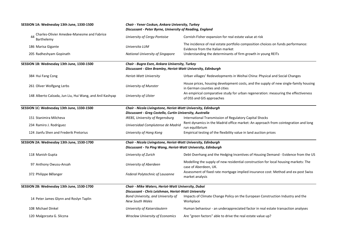| SESSION 1A: Wednesday 13th June, 1330-1500                     | Chair - Yener Coskun, Ankara University, Turkey<br>Discussant - Peter Byrne, University of Reading, England                   |                                                                                                                       |  |  |
|----------------------------------------------------------------|-------------------------------------------------------------------------------------------------------------------------------|-----------------------------------------------------------------------------------------------------------------------|--|--|
| Charles-Olivier Amedee-Manesme and Fabrice<br>44<br>Barthelemy | University of Cergy-Pontoise                                                                                                  | Cornish-Fisher expansion for real estate value at risk                                                                |  |  |
| 186 Marisa Gigante                                             | Universita LUM                                                                                                                | The incidence of real estate portfolio composition choices on funds performance:<br>Evidence from the Italian market  |  |  |
| 205 Radheshyam Gopinath                                        | National University of Singapore                                                                                              | Understanding the determinants of firm growth in young REITs                                                          |  |  |
| SESSION 1B: Wednesday 13th June, 1330-1500                     | Chair - Bugra Esen, Ankara University, Turkey<br>Discussant - Glen Bramley, Heriot-Watt University, Edinburgh                 |                                                                                                                       |  |  |
| 384 Hui Fang Cong                                              | Heriot-Watt University                                                                                                        | Urban villages' Redevelopments in Weihai China: Physical and Social Changes                                           |  |  |
| 261 Oliver Wolfgang Lerbs                                      | University of Munster                                                                                                         | House prices, housing development costs, and the supply of new single-family housing<br>in German counties and cities |  |  |
| 148 Alberto Calzada, Jun Liu, Hui Wang, and Anil Kashyap       | University of Ulster                                                                                                          | An empirical comparative study for urban regeneration: measuring the effectiveness<br>of DSS and GIS approaches       |  |  |
| SESSION 1C: Wednesday 13th June, 1330-1500                     | Chair - Nicola Livingstone, Heriot-Watt University, Edinburgh<br>Discussant - Greg Costello, Curtin University, Australia     |                                                                                                                       |  |  |
|                                                                |                                                                                                                               |                                                                                                                       |  |  |
| 151 Stanimira Milcheva                                         | IREBS, University of Regensburg                                                                                               | International Transmission of Regulatory Capital Shocks                                                               |  |  |
| 234 Ramiro J. Rodríguez                                        | Universidad Complutense de Madrid                                                                                             | Rent dynamics in the Madrid office market: An approach from cointegration and long<br>run equilibrium                 |  |  |
| 124 Jianfu Shen and Frederik Pretorius                         | University of Hong Kong                                                                                                       | Empirical testing of the flexibility value in land auction prices                                                     |  |  |
| SESSION 2A: Wednesday 13th June, 1530-1700                     | Chair - Nicola Livingstone, Heriot-Watt University, Edinburgh<br>Discussant - Ya Ping Wang, Heriot-Watt University, Edinburgh |                                                                                                                       |  |  |
| 118 Manish Gupta                                               | University of Zurich                                                                                                          | Debt Overhang and the Hedging Incentives of Housing Demand - Evidence from the US                                     |  |  |
| 97 Anthony Owusu-Ansah                                         | University of Aberdeen                                                                                                        | Modelling the supply of new residential construction for local housing markets: The<br>case of Aberdeen, UK.          |  |  |
| 372 Philippe Bélanger                                          | Federal Polytechnic of Lausanne                                                                                               | Assessment of fixed rate mortgage implied insurance cost: Method and ex-post Swiss<br>market analysis                 |  |  |
| SESSION 2B: Wednesday 13th June, 1530-1700                     | Chair - Mike Waters, Heriot-Watt University, Dubai                                                                            |                                                                                                                       |  |  |
|                                                                |                                                                                                                               | Discussant - Chris Leishman, Heriot-Watt University                                                                   |  |  |
| 14 Peter James Glynn and Roslyn Taplin                         | Bond University, and University of<br><b>New South Wales</b>                                                                  | Impacts of Climate Change Policy on the European Construction Industry and the<br>Workplace                           |  |  |
| 108 Michael Dinkel                                             | University of Kaiserslautern                                                                                                  | Human behaviour - an underappreciated factor in real estate transaction analyses                                      |  |  |
| 120 Malgorzata G. Sliczna                                      | <b>Wroclaw University of Economics</b>                                                                                        | Are "green factors" able to drive the real estate value up?                                                           |  |  |